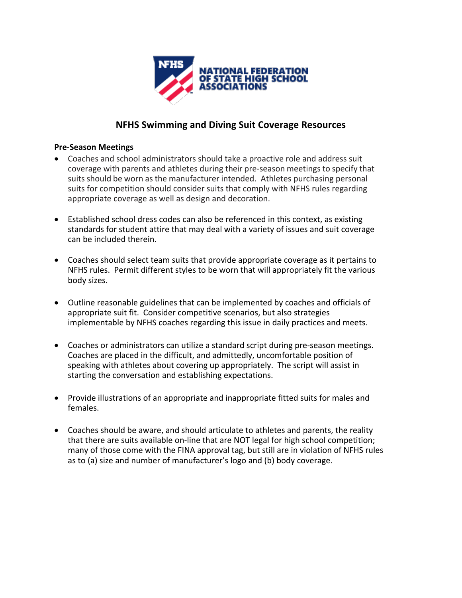

## **NFHS Swimming and Diving Suit Coverage Resources**

#### **Pre-Season Meetings**

- Coaches and school administrators should take a proactive role and address suit coverage with parents and athletes during their pre-season meetings to specify that suits should be worn as the manufacturer intended. Athletes purchasing personal suits for competition should consider suits that comply with NFHS rules regarding appropriate coverage as well as design and decoration.
- Established school dress codes can also be referenced in this context, as existing standards for student attire that may deal with a variety of issues and suit coverage can be included therein.
- Coaches should select team suits that provide appropriate coverage as it pertains to NFHS rules. Permit different styles to be worn that will appropriately fit the various body sizes.
- Outline reasonable guidelines that can be implemented by coaches and officials of appropriate suit fit. Consider competitive scenarios, but also strategies implementable by NFHS coaches regarding this issue in daily practices and meets.
- Coaches or administrators can utilize a standard script during pre-season meetings. Coaches are placed in the difficult, and admittedly, uncomfortable position of speaking with athletes about covering up appropriately. The script will assist in starting the conversation and establishing expectations.
- Provide illustrations of an appropriate and inappropriate fitted suits for males and females.
- Coaches should be aware, and should articulate to athletes and parents, the reality that there are suits available on-line that are NOT legal for high school competition; many of those come with the FINA approval tag, but still are in violation of NFHS rules as to (a) size and number of manufacturer's logo and (b) body coverage.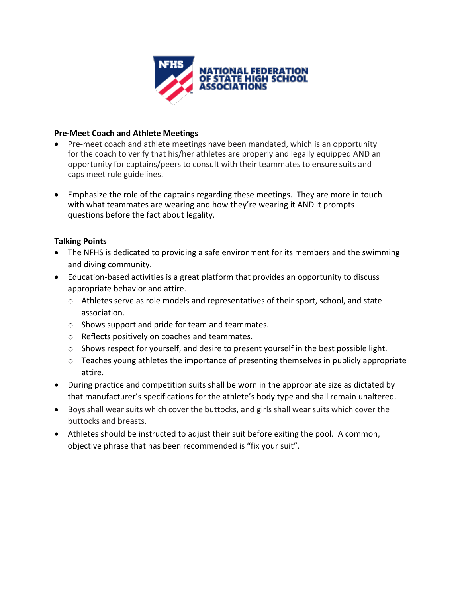

#### **Pre-Meet Coach and Athlete Meetings**

- Pre-meet coach and athlete meetings have been mandated, which is an opportunity for the coach to verify that his/her athletes are properly and legally equipped AND an opportunity for captains/peers to consult with their teammates to ensure suits and caps meet rule guidelines.
- Emphasize the role of the captains regarding these meetings. They are more in touch with what teammates are wearing and how they're wearing it AND it prompts questions before the fact about legality.

### **Talking Points**

- The NFHS is dedicated to providing a safe environment for its members and the swimming and diving community.
- Education-based activities is a great platform that provides an opportunity to discuss appropriate behavior and attire.
	- $\circ$  Athletes serve as role models and representatives of their sport, school, and state association.
	- o Shows support and pride for team and teammates.
	- o Reflects positively on coaches and teammates.
	- o Shows respect for yourself, and desire to present yourself in the best possible light.
	- o Teaches young athletes the importance of presenting themselves in publicly appropriate attire.
- During practice and competition suits shall be worn in the appropriate size as dictated by that manufacturer's specifications for the athlete's body type and shall remain unaltered.
- Boys shall wear suits which cover the buttocks, and girls shall wear suits which cover the buttocks and breasts.
- Athletes should be instructed to adjust their suit before exiting the pool. A common, objective phrase that has been recommended is "fix your suit".